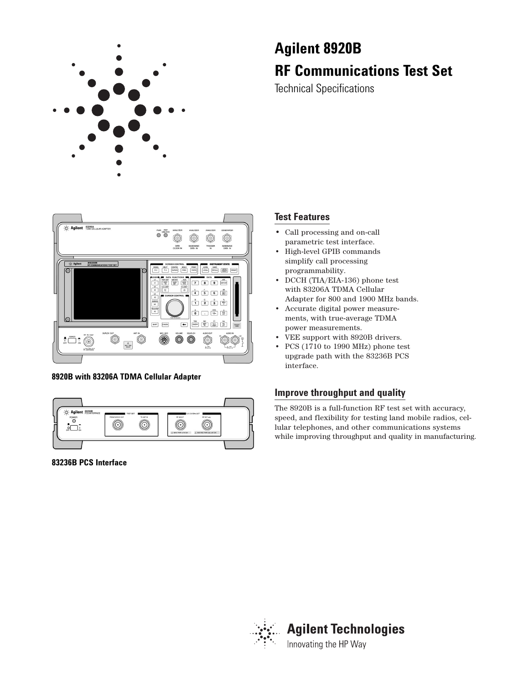

# **Agilent 8920B RF Communications Test Set**

Technical Specifications



# **8920B with 83206A TDMA Cellular Adapter**



**83236B PCS Interface**

# **Test Features**

- Call processing and on-call parametric test interface.
- High-level GPIB commands simplify call processing programmability.
- DCCH (TIA/EIA-136) phone test with 83206A TDMA Cellular Adapter for 800 and 1900 MHz bands.
- Accurate digital power measurements, with true-average TDMA power measurements.
- VEE support with 8920B drivers.
- PCS (1710 to 1990 MHz) phone test upgrade path with the 83236B PCS interface.

# **Improve throughput and quality**

The 8920B is a full-function RF test set with accuracy, speed, and flexibility for testing land mobile radios, cellular telephones, and other communications systems while improving throughput and quality in manufacturing.

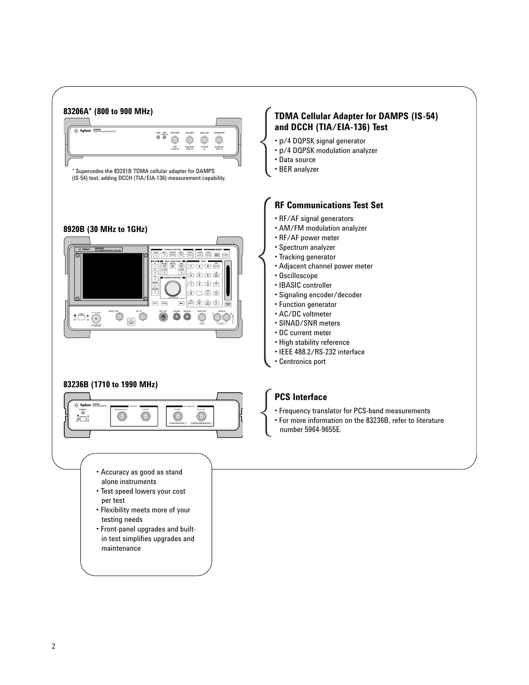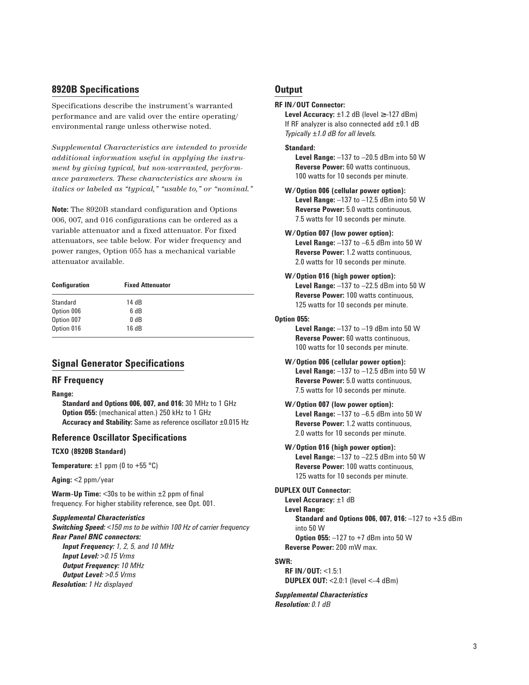# **8920B Specifications**

Specifications describe the instrument's warranted performance and are valid over the entire operating/ environmental range unless otherwise noted.

*Supplemental Characteristics are intended to provide additional information useful in applying the instrument by giving typical, but non-warranted, performance parameters. These characteristics are shown in italics or labeled as "typical," "usable to," or "nominal."*

**Note:** The 8920B standard configuration and Options 006, 007, and 016 configurations can be ordered as a variable attenuator and a fixed attenuator. For fixed attenuators, see table below. For wider frequency and power ranges, Option 055 has a mechanical variable attenuator available.

| <b>Configuration</b> | <b>Fixed Attenuator</b> |  |
|----------------------|-------------------------|--|
| Standard             | 14 dB                   |  |
| Option 006           | 6 dB                    |  |
| Option 007           | $0 \, dB$               |  |
| Option 016           | 16dB                    |  |

# **Signal Generator Specifications**

# **RF Frequency**

**Range:**

**Standard and Options 006, 007, and 016:** 30 MHz to 1 GHz **Option 055:** (mechanical atten.) 250 kHz to 1 GHz **Accuracy and Stability:** Same as reference oscillator ±0.015 Hz

# **Reference Oscillator Specifications**

### **TCXO (8920B Standard)**

**Temperature:**  $\pm 1$  ppm (0 to  $+55$  °C)

**Aging:** <2 ppm/year

**Warm-Up Time:** <30s to be within ±2 ppm of final frequency. For higher stability reference, see Opt. 001.

*Supplemental Characteristics Switching Speed: <150 ms to be within 100 Hz of carrier frequency Rear Panel BNC connectors: Input Frequency: 1, 2, 5, and 10 MHz Input Level: >0.15 Vrms Output Frequency: 10 MHz Output Level: >0.5 Vrms Resolution: 1 Hz displayed*

# **Output**

#### **RF IN/OUT Connector:**

**Level Accuracy:** ±1.2 dB (level ≥–127 dBm) If RF analyzer is also connected add ±0.1 dB *Typically ±1.0 dB for all levels.*

#### **Standard:**

**Level Range:** –137 to –20.5 dBm into 50 W **Reverse Power:** 60 watts continuous, 100 watts for 10 seconds per minute.

- **W/Option 006 (cellular power option): Level Range:** –137 to –12.5 dBm into 50 W **Reverse Power:** 5.0 watts continuous, 7.5 watts for 10 seconds per minute.
- **W/Option 007 (low power option): Level Range:** –137 to –6.5 dBm into 50 W **Reverse Power:** 1.2 watts continuous, 2.0 watts for 10 seconds per minute.

# **W/Option 016 (high power option):**

**Level Range:** –137 to –22.5 dBm into 50 W **Reverse Power:** 100 watts continuous, 125 watts for 10 seconds per minute.

# **Option 055:**

**Level Range:** –137 to –19 dBm into 50 W **Reverse Power:** 60 watts continuous, 100 watts for 10 seconds per minute.

- **W/Option 006 (cellular power option): Level Range:** –137 to –12.5 dBm into 50 W **Reverse Power:** 5.0 watts continuous, 7.5 watts for 10 seconds per minute.
- **W/Option 007 (low power option): Level Range:** –137 to –6.5 dBm into 50 W **Reverse Power:** 1.2 watts continuous, 2.0 watts for 10 seconds per minute.
- **W/Option 016 (high power option): Level Range:** –137 to –22.5 dBm into 50 W **Reverse Power:** 100 watts continuous, 125 watts for 10 seconds per minute.

#### **DUPLEX OUT Connector:**

**Level Accuracy:** ±1 dB **Level Range: Standard and Options 006, 007, 016:** –127 to +3.5 dBm into 50 W **Option 055:** –127 to +7 dBm into 50 W **Reverse Power:** 200 mW max.

#### **SWR:**

**RF IN/OUT:** <1.5:1 **DUPLEX OUT:** <2.0:1 (level <–4 dBm)

# *Supplemental Characteristics*

*Resolution: 0.1 dB*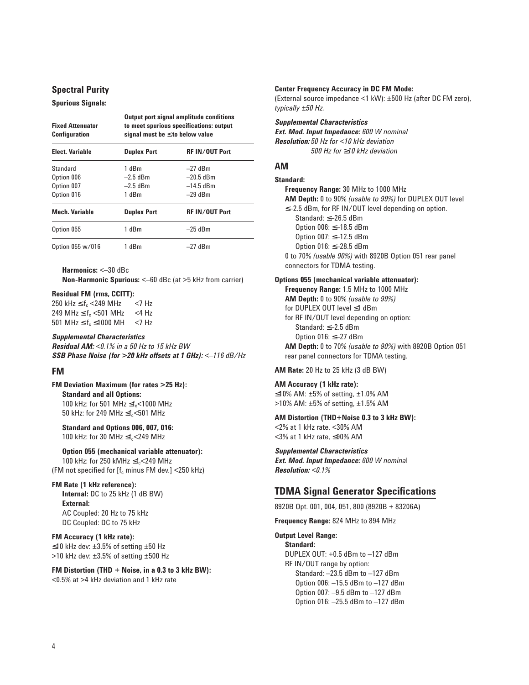# **Spectral Purity**

#### **Spurious Signals:**

| <b>Fixed Attenuator</b><br>Configuration | Output port signal amplitude conditions<br>to meet spurious specifications: output<br>signal must be $\leq$ to below value |                       |  |
|------------------------------------------|----------------------------------------------------------------------------------------------------------------------------|-----------------------|--|
| <b>Elect. Variable</b>                   | <b>Duplex Port</b>                                                                                                         | <b>RF IN/OUT Port</b> |  |
| Standard                                 | 1 dBm                                                                                                                      | $-27$ dBm             |  |
| Option 006                               | $-2.5$ dBm                                                                                                                 | $-20.5$ dBm           |  |
| Option 007                               | $-2.5$ dBm                                                                                                                 | $-14.5$ dBm           |  |
| Option 016                               | 1 dBm                                                                                                                      | $-29$ dBm             |  |
| Mech. Variable                           | <b>Duplex Port</b>                                                                                                         | <b>RF IN/OUT Port</b> |  |
| Option 055                               | 1 dBm                                                                                                                      | $-25$ dBm             |  |
| Option 055 w/016                         | 1 dBm                                                                                                                      | $-27$ dBm             |  |

**Harmonics:** <–30 dBc

**Non-Harmonic Spurious:** <–60 dBc (at >5 kHz from carrier)

#### **Residual FM (rms, CCITT):**

250 kHz  $\leq$  f<sub>c</sub> <249 MHz <7 Hz 249 MHz ≤  $f_c$  <501 MHz <4 Hz<br>501 MHz ≤  $f_c$  ≤1000 MH <7 Hz 501 MHz  $\leq$  f<sub>c</sub>  $\leq$ 1000 MH

#### *Supplemental Characteristics*

*Residual AM: <0.1% in a 50 Hz to 15 kHz BW SSB Phase Noise (for >20 kHz offsets at 1 GHz): <–116 dB/Hz*

# **FM**

**FM Deviation Maximum (for rates >25 Hz): Standard and all Options:** 100 kHz: for 501 MHz  $\leq f_c$ <1000 MHz 50 kHz: for 249 MHz  $\leq f_c$ <501 MHz

**Standard and Options 006, 007, 016:** 100 kHz: for 30 MHz  $\leq f_c$ <249 MHz

**Option 055 (mechanical variable attenuator):** 100 kHz: for 250 kMHz  $\leq f_c$ <249 MHz (FM not specified for  $[f_c \text{ minus FM} \text{ dev.}]$  <250 kHz)

# **FM Rate (1 kHz reference):**

**Internal:** DC to 25 kHz (1 dB BW) **External:**  AC Coupled: 20 Hz to 75 kHz DC Coupled: DC to 75 kHz

#### **FM Accuracy (1 kHz rate):**

≤10 kHz dev: ±3.5% of setting ±50 Hz >10 kHz dev: ±3.5% of setting ±500 Hz

**FM Distortion (THD + Noise, in a 0.3 to 3 kHz BW):** <0.5% at >4 kHz deviation and 1 kHz rate

#### **Center Frequency Accuracy in DC FM Mode:**

(External source impedance <1 kW): ±500 Hz (after DC FM zero), *typically ±50 Hz.*

*Supplemental Characteristics Ext. Mod. Input Impedance: 600 W nominal Resolution: 50 Hz for <10 kHz deviation 500 Hz for* ≥*10 kHz deviation*

### **AM**

#### **Standard:**

**Frequency Range:** 30 MHz to 1000 MHz **AM Depth:** 0 to 90% *(usable to 99%)* for DUPLEX OUT level ≤–2.5 dBm, for RF IN/OUT level depending on option. Standard: ≤–26.5 dBm Option 006: ≤–18.5 dBm Option 007: ≤–12.5 dBm Option 016: ≤–28.5 dBm 0 to 70% *(usable 90%)* with 8920B Option 051 rear panel connectors for TDMA testing.

#### **Options 055 (mechanical variable attenuator):**

**Frequency Range:** 1.5 MHz to 1000 MHz **AM Depth:** 0 to 90% *(usable to 99%)* for DUPLEX OUT level ≤1 dBm for RF IN/OUT level depending on option: Standard: ≤–2.5 dBm Option 016: ≤–27 dBm **AM Depth:** 0 to 70% *(usable to 90%)* with 8920B Option 051 rear panel connectors for TDMA testing.

**AM Rate:** 20 Hz to 25 kHz (3 dB BW)

#### **AM Accuracy (1 kHz rate):**

≤10% AM: ±5% of setting, ±1.0% AM >10% AM: ±5% of setting, ±1.5% AM

#### **AM Distortion (THD+Noise 0.3 to 3 kHz BW):**

<2% at 1 kHz rate, <30% AM <3% at 1 kHz rate, ≤90% AM

# *Supplemental Characteristics*

*Ext. Mod. Input Impedance: 600 W nomina*l *Resolution: <0.1%*

# **TDMA Signal Generator Specifications**

8920B Opt. 001, 004, 051, 800 (8920B + 83206A)

**Frequency Range:** 824 MHz to 894 MHz

#### **Output Level Range:**

**Standard:** DUPLEX OUT: +0.5 dBm to –127 dBm RF IN/OUT range by option: Standard: –23.5 dBm to –127 dBm Option 006: –15.5 dBm to –127 dBm Option 007: –9.5 dBm to –127 dBm Option 016: –25.5 dBm to –127 dBm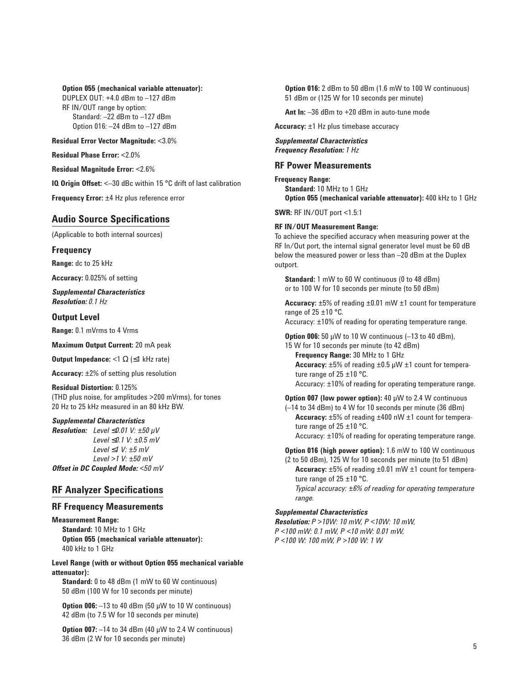#### **Option 055 (mechanical variable attenuator):**

DUPLEX OUT: +4.0 dBm to –127 dBm RF IN/OUT range by option: Standard: –22 dBm to –127 dBm Option 016: –24 dBm to –127 dBm

**Residual Error Vector Magnitude:** <3.0%

**Residual Phase Error:** <2.0%

**Residual Magnitude Error:** <2.6%

**IQ Origin Offset:** <-30 dBc within 15 °C drift of last calibration

**Frequency Error:** ±4 Hz plus reference error

# **Audio Source Specifications**

(Applicable to both internal sources)

# **Frequency**

**Range:** dc to 25 kHz

**Accuracy:** 0.025% of setting

*Supplemental Characteristics Resolution: 0.1 Hz*

# **Output Level**

**Range:** 0.1 mVrms to 4 Vrms

**Maximum Output Current:** 20 mA peak

**Output Impedance:**  $\leq 1 \Omega$  ( $\leq 1$  kHz rate)

**Accuracy:** ±2% of setting plus resolution

#### **Residual Distortion:** 0.125% (THD plus noise, for amplitudes >200 mVrms), for tones

20 Hz to 25 kHz measured in an 80 kHz BW.

#### *Supplemental Characteristics*

*Resolution: Level*  $\leq$ 0.01 V:  $\pm$ 50  $\mu$ V *Level* ≤*0.1 V: ±0.5 mV Level* ≤*1 V: ±5 mV Level >1 V: ±50 mV Offset in DC Coupled Mode: <50 mV*

# **RF Analyzer Specifications**

#### **RF Frequency Measurements**

**Measurement Range: Standard:** 10 MHz to 1 GHz **Option 055 (mechanical variable attenuator):** 400 kHz to 1 GHz

**Level Range (with or without Option 055 mechanical variable attenuator):**

**Standard:** 0 to 48 dBm (1 mW to 60 W continuous) 50 dBm (100 W for 10 seconds per minute)

**Option 006:** -13 to 40 dBm (50 µW to 10 W continuous) 42 dBm (to 7.5 W for 10 seconds per minute)

**Option 007:**  $-14$  to 34 dBm (40 µW to 2.4 W continuous) 36 dBm (2 W for 10 seconds per minute)

**Option 016:** 2 dBm to 50 dBm (1.6 mW to 100 W continuous) 51 dBm or (125 W for 10 seconds per minute)

**Ant In:** –36 dBm to +20 dBm in auto-tune mode

**Accuracy:** ±1 Hz plus timebase accuracy

*Supplemental Characteristics Frequency Resolution: 1 Hz*

# **RF Power Measurements**

**Frequency Range: Standard:** 10 MHz to 1 GHz **Option 055 (mechanical variable attenuator):** 400 kHz to 1 GHz

**SWR:** RF IN/OUT port <1.5:1

#### **RF IN/OUT Measurement Range:**

To achieve the specified accuracy when measuring power at the RF In/Out port, the internal signal generator level must be 60 dB below the measured power or less than –20 dBm at the Duplex outport.

**Standard:** 1 mW to 60 W continuous (0 to 48 dBm) or to 100 W for 10 seconds per minute (to 50 dBm)

**Accuracy:** ±5% of reading ±0.01 mW ±1 count for temperature range of  $25 \pm 10$  °C.

Accuracy: ±10% of reading for operating temperature range.

**Option 006:** 50 µW to 10 W continuous (–13 to 40 dBm), 15 W for 10 seconds per minute (to 42 dBm)

**Frequency Range:** 30 MHz to 1 GHz **Accuracy:** ±5% of reading ±0.5 µW ±1 count for temperature range of  $25 \pm 10$  °C. Accuracy: ±10% of reading for operating temperature range.

**Option 007 (low power option):** 40 µW to 2.4 W continuous (–14 to 34 dBm) to 4 W for 10 seconds per minute (36 dBm) **Accuracy:** ±5% of reading ±400 nW ±1 count for temperature range of  $25 \pm 10$  °C.

Accuracy: ±10% of reading for operating temperature range.

**Option 016 (high power option):** 1.6 mW to 100 W continuous (2 to 50 dBm), 125 W for 10 seconds per minute (to 51 dBm) **Accuracy:** ±5% of reading ±0.01 mW ±1 count for temperature range of  $25 \pm 10$  °C. *Typical accuracy: ±6% of reading for operating temperature range.*

#### *Supplemental Characteristics*

*Resolution: P >10W: 10 mW, P <10W: 10 mW, P <100 mW: 0.1 mW, P <10 mW: 0.01 mW, P <100 W: 100 mW, P >100 W: 1 W*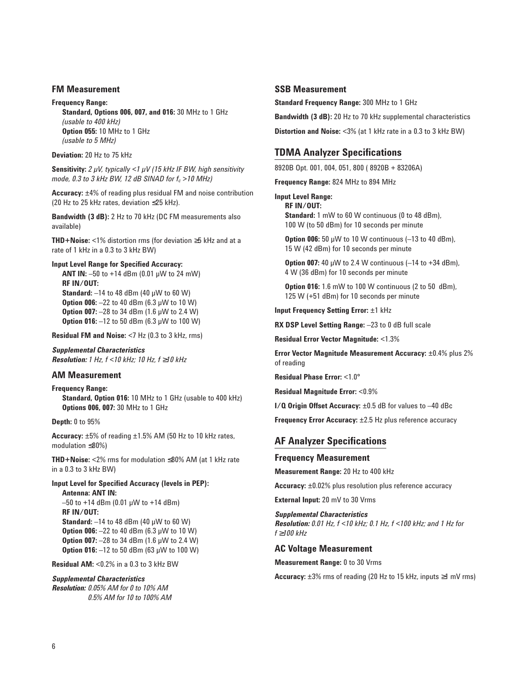#### **FM Measurement**

**Frequency Range: Standard, Options 006, 007, and 016:** 30 MHz to 1 GHz *(usable to 400 kHz)* **Option 055:** 10 MHz to 1 GHz *(usable to 5 MHz)*

**Deviation:** 20 Hz to 75 kHz

**Sensitivity:** *2 µV, typically <1 µV (15 kHz IF BW, high sensitivity mode, 0.3 to 3 kHz BW, 12 dB SINAD for fc >10 MHz)*

**Accuracy:** ±4% of reading plus residual FM and noise contribution (20 Hz to 25 kHz rates, deviation ≤25 kHz).

**Bandwidth (3 dB):** 2 Hz to 70 kHz (DC FM measurements also available)

**THD+Noise:** <1% distortion rms (for deviation ≥5 kHz and at a rate of 1 kHz in a 0.3 to 3 kHz BW)

#### **Input Level Range for Specified Accuracy:**

**ANT IN:** –50 to +14 dBm (0.01 µW to 24 mW) **RF IN/OUT: Standard:** –14 to 48 dBm (40 µW to 60 W) **Option 006:** –22 to 40 dBm (6.3 µW to 10 W) **Option 007:** -28 to 34 dBm (1.6 µW to 2.4 W) **Option 016:** -12 to 50 dBm (6.3 μW to 100 W)

**Residual FM and Noise:** <7 Hz (0.3 to 3 kHz, rms)

*Supplemental Characteristics Resolution: 1 Hz, f <10 kHz; 10 Hz, f* ≥*10 kHz*

# **AM Measurement**

**Frequency Range: Standard, Option 016:** 10 MHz to 1 GHz (usable to 400 kHz) **Options 006, 007:** 30 MHz to 1 GHz

**Depth:** 0 to 95%

**Accuracy:** ±5% of reading ±1.5% AM (50 Hz to 10 kHz rates, modulation ≤80%)

**THD+Noise:** <2% rms for modulation ≤80% AM (at 1 kHz rate in a 0.3 to 3 kHz BW)

# **Input Level for Specified Accuracy (levels in PEP):**

**Antenna: ANT IN:**  $-50$  to +14 dBm (0.01 µW to +14 dBm) **RF IN/OUT: Standard:** –14 to 48 dBm (40 µW to 60 W) **Option 006:** -22 to 40 dBm (6.3 µW to 10 W) **Option 007:** -28 to 34 dBm (1.6 µW to 2.4 W) **Option 016:**  $-12$  to 50 dBm (63 µW to 100 W)

**Residual AM:** <0.2% in a 0.3 to 3 kHz BW

*Supplemental Characteristics Resolution: 0.05% AM for 0 to 10% AM 0.5% AM for 10 to 100% AM*

# **SSB Measurement**

**Standard Frequency Range:** 300 MHz to 1 GHz

**Bandwidth (3 dB):** 20 Hz to 70 kHz supplemental characteristics

**Distortion and Noise:** <3% (at 1 kHz rate in a 0.3 to 3 kHz BW)

# **TDMA Analyzer Specifications**

8920B Opt. 001, 004, 051, 800 ( 8920B + 83206A)

**Frequency Range:** 824 MHz to 894 MHz

**Input Level Range:**

**RF IN/OUT: Standard:** 1 mW to 60 W continuous (0 to 48 dBm), 100 W (to 50 dBm) for 10 seconds per minute

**Option 006:** 50 μW to 10 W continuous (-13 to 40 dBm), 15 W (42 dBm) for 10 seconds per minute

**Option 007:** 40 µW to 2.4 W continuous (–14 to +34 dBm), 4 W (36 dBm) for 10 seconds per minute

**Option 016:** 1.6 mW to 100 W continuous (2 to 50 dBm), 125 W (+51 dBm) for 10 seconds per minute

**Input Frequency Setting Error:** ±1 kHz

**RX DSP Level Setting Range:** –23 to 0 dB full scale

**Residual Error Vector Magnitude:** <1.3%

**Error Vector Magnitude Measurement Accuracy:** ±0.4% plus 2% of reading

**Residual Phase Error:** <1.0°

**Residual Magnitude Error:** <0.9%

**I/Q Origin Offset Accuracy:** ±0.5 dB for values to –40 dBc

**Frequency Error Accuracy:** ±2.5 Hz plus reference accuracy

# **AF Analyzer Specifications**

#### **Frequency Measurement**

**Measurement Range:** 20 Hz to 400 kHz

**Accuracy:** ±0.02% plus resolution plus reference accuracy

**External Input:** 20 mV to 30 Vrms

*Supplemental Characteristics Resolution: 0.01 Hz, f <10 kHz; 0.1 Hz, f <100 kHz; and 1 Hz for f* ≥*100 kHz*

#### **AC Voltage Measurement**

**Measurement Range:** 0 to 30 Vrms

**Accuracy:** ±3% rms of reading (20 Hz to 15 kHz, inputs ≥1 mV rms)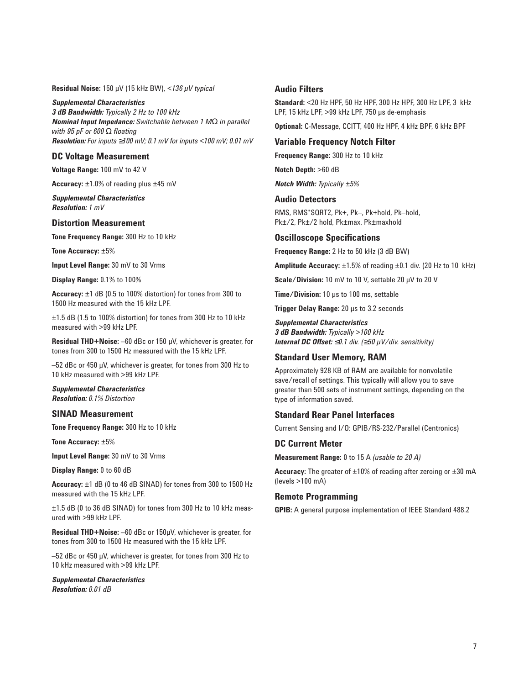**Residual Noise:** 150 µV (15 kHz BW), <*136 µV typical*

*Supplemental Characteristics 3 dB Bandwidth: Typically 2 Hz to 100 kHz Nominal Input Impedance: Switchable between 1 M*Ω *in parallel with 95 pF or 600* Ω *floating Resolution: For inputs* ≥*100 mV; 0.1 mV for inputs <100 mV; 0.01 mV*

# **DC Voltage Measurement**

**Voltage Range:** 100 mV to 42 V

**Accuracy:** ±1.0% of reading plus ±45 mV

*Supplemental Characteristics Resolution: 1 mV*

### **Distortion Measurement**

**Tone Frequency Range:** 300 Hz to 10 kHz

**Tone Accuracy:** ±5%

**Input Level Range:** 30 mV to 30 Vrms

**Display Range:** 0.1% to 100%

**Accuracy:** ±1 dB (0.5 to 100% distortion) for tones from 300 to 1500 Hz measured with the 15 kHz LPF.

±1.5 dB (1.5 to 100% distortion) for tones from 300 Hz to 10 kHz measured with >99 kHz LPF.

**Residual THD+Noise:** –60 dBc or 150 µV, whichever is greater, for tones from 300 to 1500 Hz measured with the 15 kHz LPF.

–52 dBc or 450 µV, whichever is greater, for tones from 300 Hz to 10 kHz measured with >99 kHz LPF.

*Supplemental Characteristics Resolution: 0.1% Distortion*

#### **SINAD Measurement**

**Tone Frequency Range:** 300 Hz to 10 kHz

**Tone Accuracy:** ±5%

**Input Level Range:** 30 mV to 30 Vrms

**Display Range:** 0 to 60 dB

**Accuracy:** ±1 dB (0 to 46 dB SINAD) for tones from 300 to 1500 Hz measured with the 15 kHz LPF.

±1.5 dB (0 to 36 dB SINAD) for tones from 300 Hz to 10 kHz measured with >99 kHz LPF.

**Residual THD+Noise:** –60 dBc or 150µV, whichever is greater, for tones from 300 to 1500 Hz measured with the 15 kHz LPF.

–52 dBc or 450 µV, whichever is greater, for tones from 300 Hz to 10 kHz measured with >99 kHz LPF.

*Supplemental Characteristics Resolution: 0.01 dB*

#### **Audio Filters**

**Standard:** <20 Hz HPF, 50 Hz HPF, 300 Hz HPF, 300 Hz LPF, 3 kHz LPF, 15 kHz LPF, >99 kHz LPF, 750 µs de-emphasis

**Optional:** C-Message, CCITT, 400 Hz HPF, 4 kHz BPF, 6 kHz BPF

# **Variable Frequency Notch Filter**

**Frequency Range:** 300 Hz to 10 kHz

**Notch Depth:** >60 dB

*Notch Width: Typically ±5%*

# **Audio Detectors**

RMS, RMS\*SQRT2, Pk+, Pk–, Pk+hold, Pk–hold, Pk±/2, Pk±/2 hold, Pk±max, Pk±maxhold

#### **Oscilloscope Specifications**

**Frequency Range:** 2 Hz to 50 kHz (3 dB BW)

**Amplitude Accuracy:** ±1.5% of reading ±0.1 div. (20 Hz to 10 kHz)

**Scale/Division:** 10 mV to 10 V, settable 20 µV to 20 V

**Time/Division:** 10 µs to 100 ms, settable

**Trigger Delay Range:** 20 µs to 3.2 seconds

#### *Supplemental Characteristics*

*3 dB Bandwidth: Typically >100 kHz Internal DC Offset:* ≤*0.1 div. (*≥*50 µV/div. sensitivity)*

# **Standard User Memory, RAM**

Approximately 928 KB of RAM are available for nonvolatile save/recall of settings. This typically will allow you to save greater than 500 sets of instrument settings, depending on the type of information saved.

#### **Standard Rear Panel Interfaces**

Current Sensing and I/O: GPIB/RS-232/Parallel (Centronics)

#### **DC Current Meter**

**Measurement Range:** 0 to 15 A *(usable to 20 A)*

**Accuracy:** The greater of ±10% of reading after zeroing or ±30 mA (levels >100 mA)

#### **Remote Programming**

**GPIB:** A general purpose implementation of IEEE Standard 488.2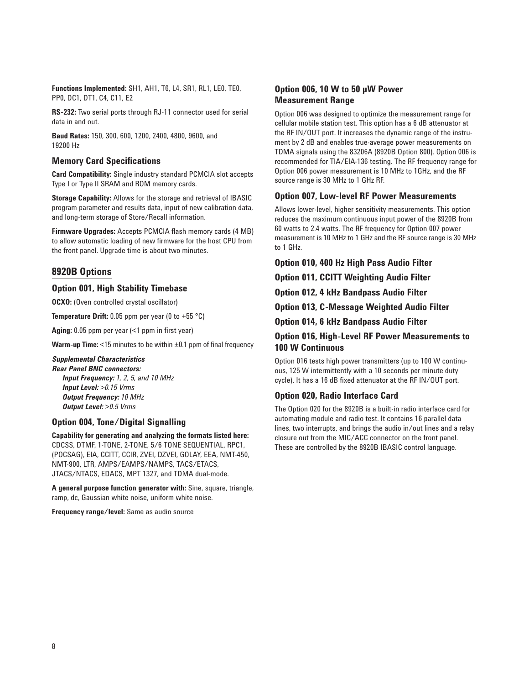**Functions Implemented:** SH1, AH1, T6, L4, SR1, RL1, LE0, TE0, PP0, DC1, DT1, C4, C11, E2

**RS-232:** Two serial ports through RJ-11 connector used for serial data in and out.

**Baud Rates:** 150, 300, 600, 1200, 2400, 4800, 9600, and 19200 Hz

# **Memory Card Specifications**

**Card Compatibility:** Single industry standard PCMCIA slot accepts Type I or Type II SRAM and ROM memory cards.

**Storage Capability:** Allows for the storage and retrieval of IBASIC program parameter and results data, input of new calibration data, and long-term storage of Store/Recall information.

**Firmware Upgrades:** Accepts PCMCIA flash memory cards (4 MB) to allow automatic loading of new firmware for the host CPU from the front panel. Upgrade time is about two minutes.

# **8920B Options**

# **Option 001, High Stability Timebase**

**OCXO:** (Oven controlled crystal oscillator)

**Temperature Drift:** 0.05 ppm per year (0 to +55 °C)

**Aging:** 0.05 ppm per year (<1 ppm in first year)

**Warm-up Time:** <15 minutes to be within  $\pm 0.1$  ppm of final frequency

# *Supplemental Characteristics*

*Rear Panel BNC connectors: Input Frequency: 1, 2, 5, and 10 MHz Input Level: >0.15 Vrms Output Frequency: 10 MHz Output Level: >0.5 Vrms*

# **Option 004, Tone/Digital Signalling**

**Capability for generating and analyzing the formats listed here:** CDCSS, DTMF, 1-TONE, 2-TONE, 5/6 TONE SEQUENTIAL, RPC1, (POCSAG), EIA, CCITT, CCIR, ZVEI, DZVEI, GOLAY, EEA, NMT-450, NMT-900, LTR, AMPS/EAMPS/NAMPS, TACS/ETACS, JTACS/NTACS, EDACS, MPT 1327, and TDMA dual-mode.

**A general purpose function generator with:** Sine, square, triangle, ramp, dc, Gaussian white noise, uniform white noise.

**Frequency range/level:** Same as audio source

# **Option 006, 10 W to 50 µW Power Measurement Range**

Option 006 was designed to optimize the measurement range for cellular mobile station test. This option has a 6 dB attenuator at the RF IN/OUT port. It increases the dynamic range of the instrument by 2 dB and enables true-average power measurements on TDMA signals using the 83206A (8920B Option 800). Option 006 is recommended for TIA/EIA-136 testing. The RF frequency range for Option 006 power measurement is 10 MHz to 1GHz, and the RF source range is 30 MHz to 1 GHz RF.

# **Option 007, Low-level RF Power Measurements**

Allows lower-level, higher sensitivity measurements. This option reduces the maximum continuous input power of the 8920B from 60 watts to 2.4 watts. The RF frequency for Option 007 power measurement is 10 MHz to 1 GHz and the RF source range is 30 MHz to 1 GHz.

**Option 010, 400 Hz High Pass Audio Filter**

**Option 011, CCITT Weighting Audio Filter**

**Option 012, 4 kHz Bandpass Audio Filter**

**Option 013, C-Message Weighted Audio Filter**

**Option 014, 6 kHz Bandpass Audio Filter**

# **Option 016, High-Level RF Power Measurements to 100 W Continuous**

Option 016 tests high power transmitters (up to 100 W continuous, 125 W intermittently with a 10 seconds per minute duty cycle). It has a 16 dB fixed attenuator at the RF IN/OUT port.

#### **Option 020, Radio Interface Card**

The Option 020 for the 8920B is a built-in radio interface card for automating module and radio test. It contains 16 parallel data lines, two interrupts, and brings the audio in/out lines and a relay closure out from the MIC/ACC connector on the front panel. These are controlled by the 8920B IBASIC control language.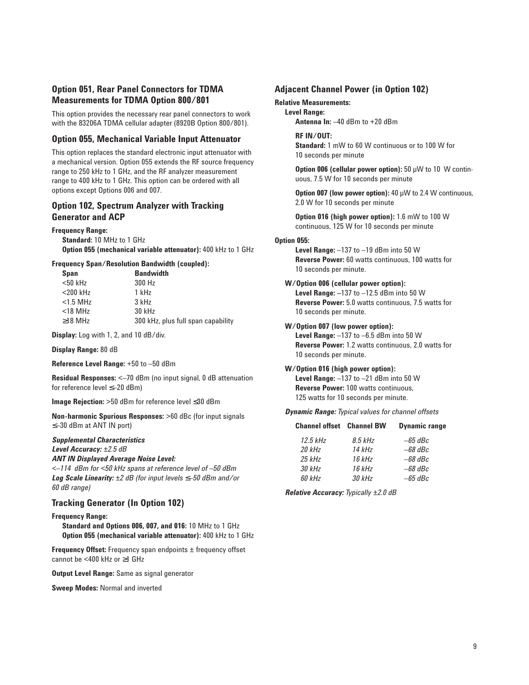# **Option 051, Rear Panel Connectors for TDMA Measurements for TDMA Option 800/801**

This option provides the necessary rear panel connectors to work with the 83206A TDMA cellular adapter (8920B Option 800/801).

#### **Option 055, Mechanical Variable Input Attenuator**

This option replaces the standard electronic input attenuator with a mechanical version. Option 055 extends the RF source frequency range to 250 kHz to 1 GHz, and the RF analyzer measurement range to 400 kHz to 1 GHz. This option can be ordered with all options except Options 006 and 007.

# **Option 102, Spectrum Analyzer with Tracking Generator and ACP**

#### **Frequency Range:**

**Standard:** 10 MHz to 1 GHz **Option 055 (mechanical variable attenuator):** 400 kHz to 1 GHz

#### **Frequency Span/Resolution Bandwidth (coupled):**

| <b>Span</b>   | <b>Bandwidth</b>                   |
|---------------|------------------------------------|
| $<$ 50 kHz    | 300 Hz                             |
| $<$ 200 kHz   | 1 kHz                              |
| $<$ 1.5 MHz   | $3$ kHz                            |
| $<$ 18 MHz    | 30 kHz                             |
| $\geq$ 18 MHz | 300 kHz, plus full span capability |

**Display:** Log with 1, 2, and 10 dB/div.

#### **Display Range:** 80 dB

**Reference Level Range:** +50 to –50 dBm

**Residual Responses:** <–70 dBm (no input signal, 0 dB attenuation for reference level ≤–20 dBm)

**Image Rejection:** >50 dBm for reference level ≤30 dBm

**Non-harmonic Spurious Responses:** >60 dBc (for input signals ≤–30 dBm at ANT IN port)

#### *Supplemental Characteristics*

*Level Accuracy: ±2.5 dB*

*ANT IN Displayed Average Noise Level:*

*<–114 dBm for <50 kHz spans at reference level of –50 dBm Log Scale Linearity: ±2 dB (for input levels* ≤*–50 dBm and/or 60 dB range)*

# **Tracking Generator (In Option 102)**

#### **Frequency Range:**

**Standard and Options 006, 007, and 016:** 10 MHz to 1 GHz **Option 055 (mechanical variable attenuator):** 400 kHz to 1 GHz

**Frequency Offset:** Frequency span endpoints  $\pm$  frequency offset cannot be <400 kHz or ≥1 GHz

**Output Level Range:** Same as signal generator

**Sweep Modes:** Normal and inverted

#### **Adjacent Channel Power (in Option 102)**

#### **Relative Measurements:**

**Level Range:**

**Antenna In:** –40 dBm to +20 dBm

#### **RF IN/OUT:**

**Standard:** 1 mW to 60 W continuous or to 100 W for 10 seconds per minute

**Option 006 (cellular power option):** 50 µW to 10 W continuous, 7.5 W for 10 seconds per minute

**Option 007 (low power option):** 40 µW to 2.4 W continuous, 2.0 W for 10 seconds per minute

**Option 016 (high power option):** 1.6 mW to 100 W continuous, 125 W for 10 seconds per minute

#### **Option 055:**

**Level Range:** –137 to –19 dBm into 50 W **Reverse Power:** 60 watts continuous, 100 watts for 10 seconds per minute.

# **W/Option 006 (cellular power option):**

**Level Range: –**137 to –12.5 dBm into 50 W **Reverse Power:** 5.0 watts continuous, 7.5 watts for 10 seconds per minute.

#### **W/Option 007 (low power option):**

**Level Range:** –137 to –6.5 dBm into 50 W **Reverse Power:** 1.2 watts continuous, 2.0 watts for 10 seconds per minute.

#### **W/Option 016 (high power option):**

**Level Range:** –137 to –21 dBm into 50 W **Reverse Power:** 100 watts continuous, 125 watts for 10 seconds per minute.

*Dynamic Range: Typical values for channel offsets*

| <b>Channel offset Channel BW</b> |         | <b>Dynamic range</b> |
|----------------------------------|---------|----------------------|
| $12.5$ kHz                       | 8.5 kHz | $-65$ dBc            |
| 20 kHz                           | 14 kHz  | $-68$ dBc            |

| ∠U KHZ | 14 KH7 | —од авс   |
|--------|--------|-----------|
| 25 kHz | 16 kHz | $-68$ dBc |
| 30 kHz | 16 kHz | $-68$ dBc |
| 60 kHz | 30 kHz | $-65$ dBc |
|        |        |           |

*Relative Accuracy: Typically ±2.0 dB*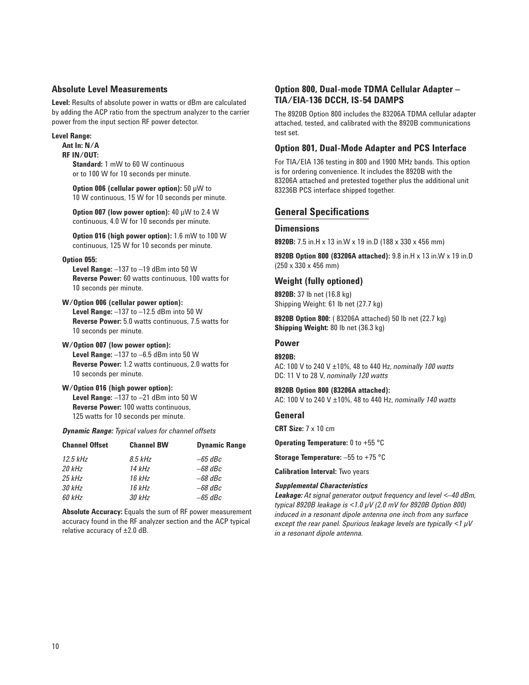# **Absolute Level Measurements**

**Level:** Results of absolute power in watts or dBm are calculated by adding the ACP ratio from the spectrum analyzer to the carrier power from the input section RF power detector.

#### **Level Range:**

**Ant In: N/A**

# **RF IN/OUT:**

**Standard:** 1 mW to 60 W continuous or to 100 W for 10 seconds per minute.

**Option 006 (cellular power option):** 50 µW to 10 W continuous, 15 W for 10 seconds per minute.

**Option 007 (low power option):** 40 µW to 2.4 W continuous, 4.0 W for 10 seconds per minute.

**Option 016 (high power option):** 1.6 mW to 100 W continuous, 125 W for 10 seconds per minute.

#### **Option 055:**

**Level Range:** –137 to –19 dBm into 50 W **Reverse Power:** 60 watts continuous, 100 watts for 10 seconds per minute.

#### **W/Option 006 (cellular power option):**

**Level Range:** –137 to –12.5 dBm into 50 W **Reverse Power:** 5.0 watts continuous, 7.5 watts for 10 seconds per minute.

#### **W/Option 007 (low power option):**

**Level Range:** –137 to –6.5 dBm into 50 W **Reverse Power:** 1.2 watts continuous, 2.0 watts for 10 seconds per minute.

#### **W/Option 016 (high power option): Level Range:** –137 to –21 dBm into 50 W **Reverse Power:** 100 watts continuous, 125 watts for 10 seconds per minute.

*Dynamic Range: Typical values for channel offsets*

| <b>Channel Offset</b> | <b>Channel BW</b> | <b>Dynamic Range</b> |
|-----------------------|-------------------|----------------------|
| $12.5$ kHz            | $8.5$ kHz         | $-65$ dBc            |
| 20 kHz                | 14 kHz            | $-68$ dBc            |
| $25$ kHz              | 16 kHz            | $-68$ dBc            |
| 30 kHz                | 16 kHz            | $-68$ dBc            |
| 60 kHz                | 30 kHz            | $-65$ dBc            |
|                       |                   |                      |

**Absolute Accuracy:** Equals the sum of RF power measurement accuracy found in the RF analyzer section and the ACP typical relative accuracy of ±2.0 dB.

# **Option 800, Dual-mode TDMA Cellular Adapter – TIA/EIA-136 DCCH, IS-54 DAMPS**

The 8920B Option 800 includes the 83206A TDMA cellular adapter attached, tested, and calibrated with the 8920B communications test set.

#### **Option 801, Dual-Mode Adapter and PCS Interface**

For TIA/EIA 136 testing in 800 and 1900 MHz bands. This option is for ordering convenience. It includes the 8920B with the 83206A attached and pretested together plus the additional unit 83236B PCS interface shipped together.

# **General Specifications**

# **Dimensions**

**8920B:** 7.5 in.H x 13 in.W x 19 in.D (188 x 330 x 456 mm)

**8920B Option 800 (83206A attached):** 9.8 in.H x 13 in.W x 19 in.D (250 x 330 x 456 mm)

# **Weight (fully optioned)**

**8920B:** 37 lb net (16.8 kg) Shipping Weight: 61 lb net (27.7 kg)

**8920B Option 800:** ( 83206A attached) 50 lb net (22.7 kg) **Shipping Weight:** 80 lb net (36.3 kg)

# **Power**

#### **8920B:**

AC: 100 V to 240 V ±10%, 48 to 440 Hz, *nominally 100 watts* DC: 11 V to 28 V, *nominally 120 watts*

#### **8920B Option 800 (83206A attached):**

AC: 100 V to 240 V ±10%, 48 to 440 Hz, *nominally 140 watts*

#### **General**

**CRT Size:** 7 x 10 cm

**Operating Temperature:** 0 to +55 °C

**Storage Temperature:** –55 to +75 °C

**Calibration Interval:** Two years

#### *Supplemental Characteristics*

*Leakage: At signal generator output frequency and level <–40 dBm, typical 8920B leakage is <1.0 µV (2.0 mV for 8920B Option 800) induced in a resonant dipole antenna one inch from any surface except the rear panel. Spurious leakage levels are typically <1 µV in a resonant dipole antenna.*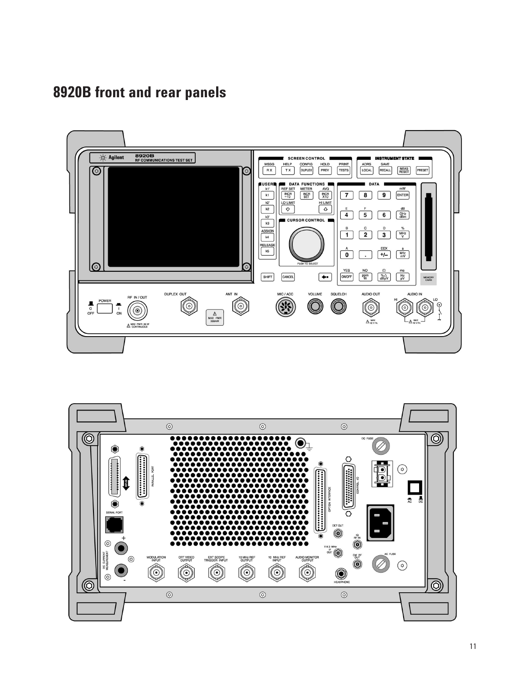**8920B front and rear panels**



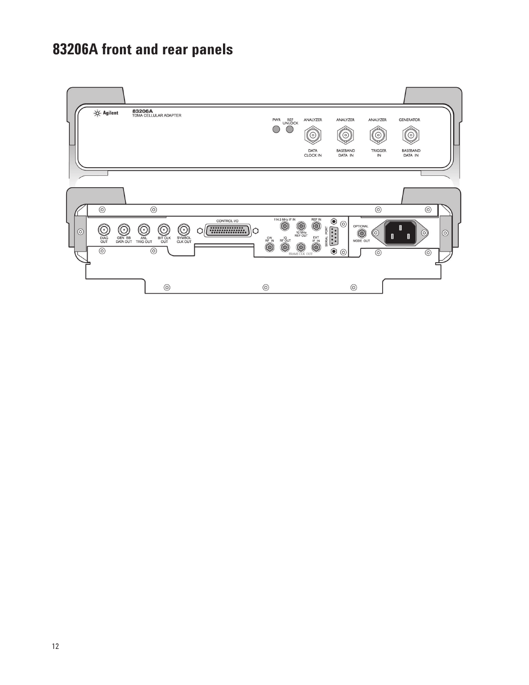# **83206A front and rear panels**

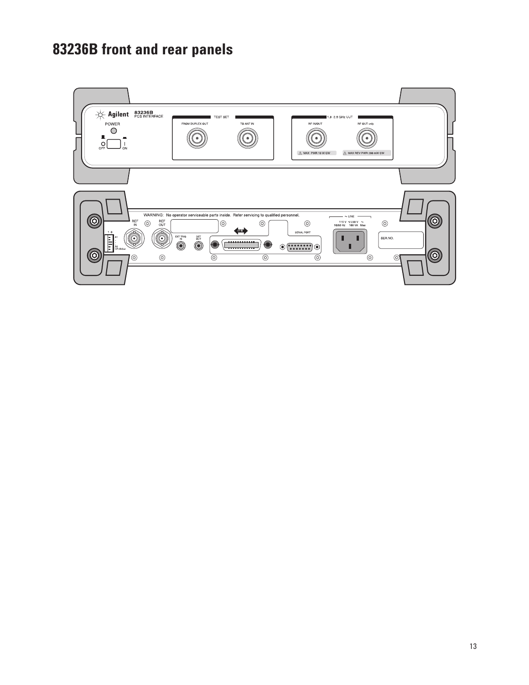# **83236B front and rear panels**